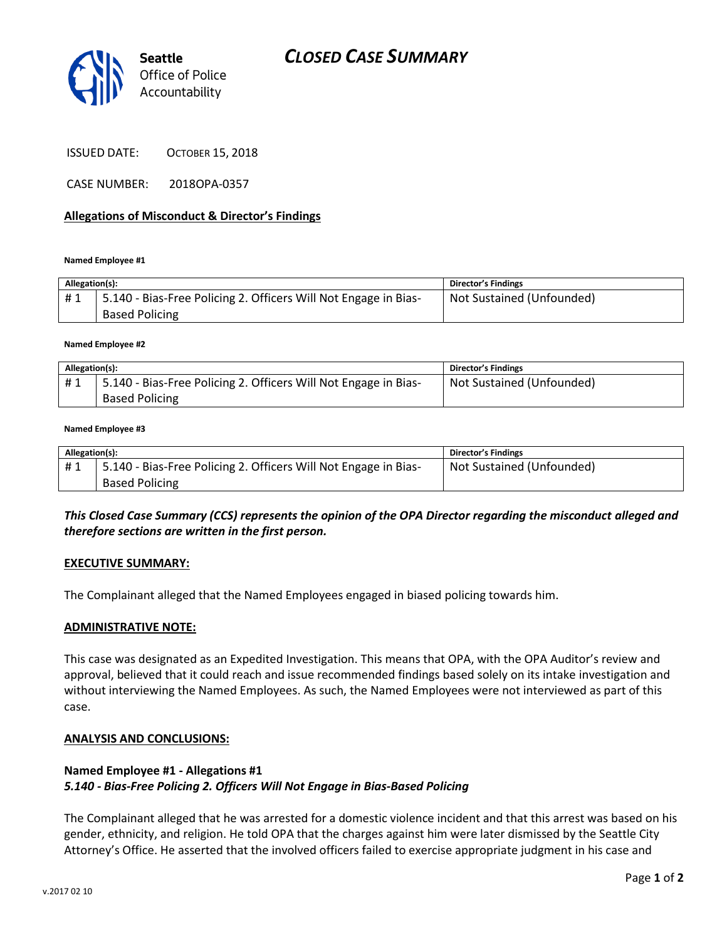



ISSUED DATE: OCTOBER 15, 2018

CASE NUMBER: 2018OPA-0357

### **Allegations of Misconduct & Director's Findings**

#### **Named Employee #1**

| Allegation(s): |                                                                                          | <b>Director's Findings</b> |
|----------------|------------------------------------------------------------------------------------------|----------------------------|
| #1             | 5.140 - Bias-Free Policing 2. Officers Will Not Engage in Bias-<br><b>Based Policing</b> | Not Sustained (Unfounded)  |

#### **Named Employee #2**

| Allegation(s): |                                                                 | Director's Findings       |
|----------------|-----------------------------------------------------------------|---------------------------|
| #1             | 5.140 - Bias-Free Policing 2. Officers Will Not Engage in Bias- | Not Sustained (Unfounded) |
|                | <b>Based Policing</b>                                           |                           |

#### **Named Employee #3**

| Allegation(s): |                                                                 | <b>Director's Findings</b> |
|----------------|-----------------------------------------------------------------|----------------------------|
| #1             | 5.140 - Bias-Free Policing 2. Officers Will Not Engage in Bias- | Not Sustained (Unfounded)  |
|                | <b>Based Policing</b>                                           |                            |

## *This Closed Case Summary (CCS) represents the opinion of the OPA Director regarding the misconduct alleged and therefore sections are written in the first person.*

### **EXECUTIVE SUMMARY:**

The Complainant alleged that the Named Employees engaged in biased policing towards him.

### **ADMINISTRATIVE NOTE:**

This case was designated as an Expedited Investigation. This means that OPA, with the OPA Auditor's review and approval, believed that it could reach and issue recommended findings based solely on its intake investigation and without interviewing the Named Employees. As such, the Named Employees were not interviewed as part of this case.

### **ANALYSIS AND CONCLUSIONS:**

## **Named Employee #1 - Allegations #1** *5.140 - Bias-Free Policing 2. Officers Will Not Engage in Bias-Based Policing*

The Complainant alleged that he was arrested for a domestic violence incident and that this arrest was based on his gender, ethnicity, and religion. He told OPA that the charges against him were later dismissed by the Seattle City Attorney's Office. He asserted that the involved officers failed to exercise appropriate judgment in his case and